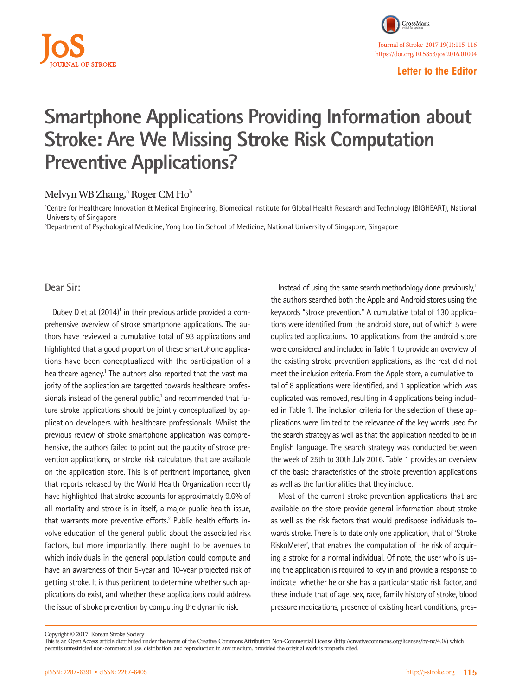

**Letter to the Editor**

## **Smartphone Applications Providing Information about Stroke: Are We Missing Stroke Risk Computation Preventive Applications?**

## Melvyn WB Zhang,<sup>a</sup> Roger CM Ho<sup>b</sup>

a Centre for Healthcare Innovation & Medical Engineering, Biomedical Institute for Global Health Research and Technology (BIGHEART), National University of Singapore

b Department of Psychological Medicine, Yong Loo Lin School of Medicine, National University of Singapore, Singapore

**Dear Sir:**

Dubey D et al. (2014)<sup>1</sup> in their previous article provided a comprehensive overview of stroke smartphone applications. The authors have reviewed a cumulative total of 93 applications and highlighted that a good proportion of these smartphone applications have been conceptualized with the participation of a healthcare agency.<sup>1</sup> The authors also reported that the vast majority of the application are targetted towards healthcare professionals instead of the general public,<sup>1</sup> and recommended that future stroke applications should be jointly conceptualized by application developers with healthcare professionals. Whilst the previous review of stroke smartphone application was comprehensive, the authors failed to point out the paucity of stroke prevention applications, or stroke risk calculators that are available on the application store. This is of peritnent importance, given that reports released by the World Health Organization recently have highlighted that stroke accounts for approximately 9.6% of all mortality and stroke is in itself, a major public health issue, that warrants more preventive efforts.<sup>2</sup> Public health efforts involve education of the general public about the associated risk factors, but more importantly, there ought to be avenues to which individuals in the general population could compute and have an awareness of their 5-year and 10-year projected risk of getting stroke. It is thus peritnent to determine whether such applications do exist, and whether these applications could address the issue of stroke prevention by computing the dynamic risk.

Instead of using the same search methodology done previously, $1$ the authors searched both the Apple and Android stores using the keywords "stroke prevention." A cumulative total of 130 applications were identified from the android store, out of which 5 were duplicated applications. 10 applications from the android store were considered and included in Table 1 to provide an overview of the existing stroke prevention applications, as the rest did not meet the inclusion criteria. From the Apple store, a cumulative total of 8 applications were identified, and 1 application which was duplicated was removed, resulting in 4 applications being included in Table 1. The inclusion criteria for the selection of these applications were limited to the relevance of the key words used for the search strategy as well as that the application needed to be in English language. The search strategy was conducted between the week of 25th to 30th July 2016. Table 1 provides an overview of the basic characteristics of the stroke prevention applications as well as the funtionalities that they include.

Most of the current stroke prevention applications that are available on the store provide general information about stroke as well as the risk factors that would predispose individuals towards stroke. There is to date only one application, that of 'Stroke RiskoMeter', that enables the computation of the risk of acquiring a stroke for a normal individual. Of note, the user who is using the application is required to key in and provide a response to indicate whether he or she has a particular static risk factor, and these include that of age, sex, race, family history of stroke, blood pressure medications, presence of existing heart conditions, pres-

Copyright © 2017 Korean Stroke Society

This is an Open Access article distributed under the terms of the Creative Commons Attribution Non-Commercial License (http://creativecommons.org/licenses/by-nc/4.0/) which permits unrestricted non-commercial use, distribution, and reproduction in any medium, provided the original work is properly cited.